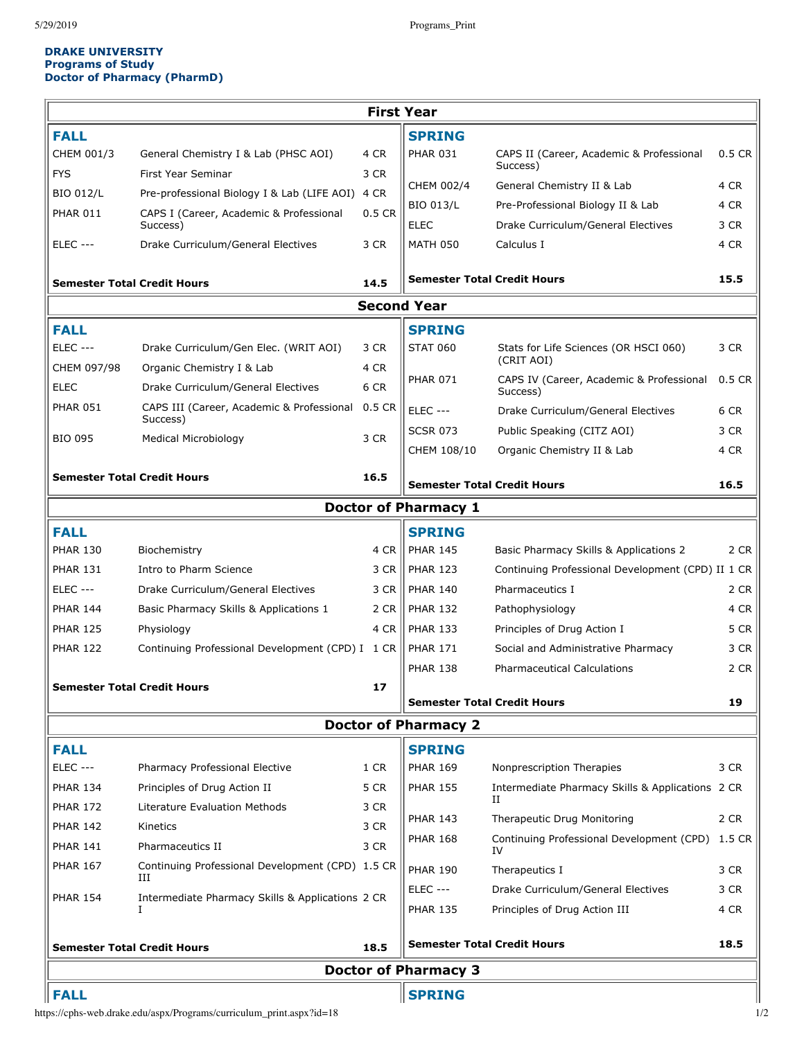## **DRAKE UNIVERSITY Programs of Study Doctor of Pharmacy (PharmD)**

| <b>Semester Total Credit Hours</b><br><b>Doctor of Pharmacy 3</b> |                                                                |        |                                    |                                                                         |              |  |  |  |
|-------------------------------------------------------------------|----------------------------------------------------------------|--------|------------------------------------|-------------------------------------------------------------------------|--------------|--|--|--|
|                                                                   |                                                                | 18.5   |                                    | <b>Semester Total Credit Hours</b>                                      | 18.5         |  |  |  |
| <b>PHAR 154</b>                                                   | Intermediate Pharmacy Skills & Applications 2 CR               |        | <b>PHAR 135</b>                    | Principles of Drug Action III                                           | 4 CR         |  |  |  |
|                                                                   | Ш                                                              |        | <b>ELEC ---</b>                    | Drake Curriculum/General Electives                                      | 3 CR         |  |  |  |
| <b>PHAR 167</b>                                                   | Continuing Professional Development (CPD) 1.5 CR               |        | <b>PHAR 190</b>                    | Therapeutics I                                                          | 3 CR         |  |  |  |
| <b>PHAR 141</b>                                                   | Pharmaceutics II                                               | 3 CR   | <b>PHAR 168</b>                    | Continuing Professional Development (CPD) 1.5 CR<br>IV                  |              |  |  |  |
| <b>PHAR 142</b>                                                   | Kinetics                                                       | 3 CR   | <b>PHAR 143</b>                    | Therapeutic Drug Monitoring                                             | 2 CR         |  |  |  |
| <b>PHAR 172</b>                                                   | Literature Evaluation Methods                                  | 3 CR   |                                    | П                                                                       |              |  |  |  |
| <b>PHAR 134</b>                                                   | Principles of Drug Action II                                   | 5 CR   | <b>PHAR 155</b>                    | Intermediate Pharmacy Skills & Applications 2 CR                        |              |  |  |  |
| <b>FALL</b><br>$ELEC$ ---                                         | Pharmacy Professional Elective                                 | 1 CR   | <b>SPRING</b><br><b>PHAR 169</b>   | Nonprescription Therapies                                               | 3 CR         |  |  |  |
|                                                                   |                                                                |        |                                    |                                                                         |              |  |  |  |
|                                                                   |                                                                |        | <b>Doctor of Pharmacy 2</b>        |                                                                         |              |  |  |  |
| <b>Semester Total Credit Hours</b>                                |                                                                |        | <b>Semester Total Credit Hours</b> |                                                                         | 19           |  |  |  |
|                                                                   |                                                                | 17     |                                    |                                                                         |              |  |  |  |
|                                                                   |                                                                |        | <b>PHAR 138</b>                    | <b>Pharmaceutical Calculations</b>                                      | 2 CR         |  |  |  |
| <b>PHAR 122</b>                                                   | Physiology<br>Continuing Professional Development (CPD) I 1 CR | 4 CR   | <b>PHAR 133</b><br><b>PHAR 171</b> | Principles of Drug Action I<br>Social and Administrative Pharmacy       | 5 CR<br>3 CR |  |  |  |
| <b>PHAR 144</b><br><b>PHAR 125</b>                                | Basic Pharmacy Skills & Applications 1                         | 2 CR   | <b>PHAR 132</b>                    | Pathophysiology                                                         | 4 CR         |  |  |  |
| <b>ELEC ---</b>                                                   | Drake Curriculum/General Electives                             | 3 CR   | <b>PHAR 140</b>                    | Pharmaceutics I                                                         | 2 CR         |  |  |  |
| <b>PHAR 131</b>                                                   | Intro to Pharm Science                                         | 3 CR   | <b>PHAR 123</b>                    | Continuing Professional Development (CPD) II 1 CR                       |              |  |  |  |
| <b>PHAR 130</b>                                                   | Biochemistry                                                   | 4 CR   | <b>PHAR 145</b>                    | Basic Pharmacy Skills & Applications 2                                  | 2 CR         |  |  |  |
| <b>FALL</b>                                                       |                                                                |        | <b>SPRING</b>                      |                                                                         |              |  |  |  |
|                                                                   |                                                                |        |                                    |                                                                         |              |  |  |  |
|                                                                   |                                                                |        | <b>Doctor of Pharmacy 1</b>        |                                                                         |              |  |  |  |
|                                                                   | <b>Semester Total Credit Hours</b>                             | 16.5   |                                    | <b>Semester Total Credit Hours</b>                                      | 16.5         |  |  |  |
|                                                                   |                                                                |        | CHEM 108/10                        | Organic Chemistry II & Lab                                              | 4 CR         |  |  |  |
| <b>BIO 095</b>                                                    | <b>Medical Microbiology</b>                                    | 3 CR   | <b>SCSR 073</b>                    | Public Speaking (CITZ AOI)                                              | 3 CR         |  |  |  |
| <b>PHAR 051</b>                                                   | CAPS III (Career, Academic & Professional<br>Success)          | 0.5 CR | <b>ELEC ---</b>                    | Drake Curriculum/General Electives                                      | 6 CR         |  |  |  |
| <b>ELEC</b>                                                       | Drake Curriculum/General Electives                             | 6 CR   |                                    | Success)                                                                |              |  |  |  |
| CHEM 097/98                                                       | Organic Chemistry I & Lab                                      | 4 CR   | <b>PHAR 071</b>                    | CAPS IV (Career, Academic & Professional                                | $0.5$ CR     |  |  |  |
| <b>ELEC ---</b>                                                   | Drake Curriculum/Gen Elec. (WRIT AOI)                          | 3 CR   | <b>STAT 060</b>                    | Stats for Life Sciences (OR HSCI 060)<br>(CRIT AOI)                     | 3 CR         |  |  |  |
| <b>FALL</b>                                                       |                                                                |        | <b>SPRING</b>                      |                                                                         |              |  |  |  |
|                                                                   |                                                                |        | <b>Second Year</b>                 |                                                                         |              |  |  |  |
| <b>Semester Total Credit Hours</b><br>14.5                        |                                                                |        | <b>Semester Total Credit Hours</b> |                                                                         | 15.5         |  |  |  |
|                                                                   |                                                                |        |                                    |                                                                         |              |  |  |  |
| <b>ELEC ---</b>                                                   | Drake Curriculum/General Electives                             | 3 CR   | <b>MATH 050</b>                    | Calculus I                                                              | 4 CR         |  |  |  |
| <b>PHAR 011</b>                                                   | CAPS I (Career, Academic & Professional<br>Success)            | 0.5 CR | <b>ELEC</b>                        | Pre-Professional Biology II & Lab<br>Drake Curriculum/General Electives | 4 CR<br>3 CR |  |  |  |
| <b>BIO 012/L</b>                                                  | Pre-professional Biology I & Lab (LIFE AOI) 4 CR               |        | CHEM 002/4<br><b>BIO 013/L</b>     |                                                                         | 4 CR         |  |  |  |
| <b>FYS</b>                                                        | First Year Seminar                                             | 3 CR   |                                    | Success)<br>General Chemistry II & Lab                                  |              |  |  |  |
| <b>FALL</b><br>CHEM 001/3                                         | General Chemistry I & Lab (PHSC AOI)                           | 4 CR   | <b>SPRING</b><br><b>PHAR 031</b>   | CAPS II (Career, Academic & Professional                                | $0.5$ CR     |  |  |  |
|                                                                   |                                                                |        |                                    |                                                                         |              |  |  |  |